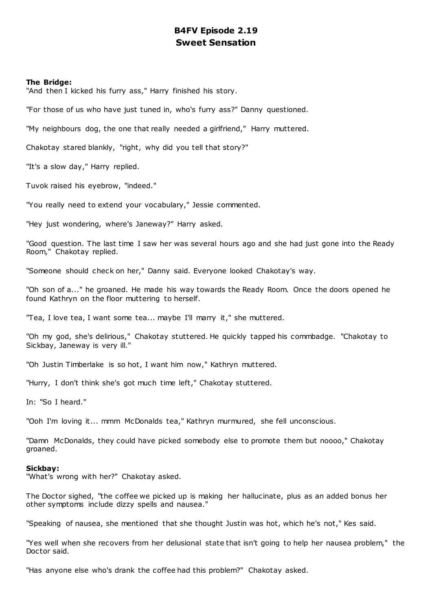# **B4FV Episode 2.19 Sweet Sensation**

## **The Bridge:**

"And then I kicked his furry ass," Harry finished his story.

"For those of us who have just tuned in, who's furry ass?" Danny questioned.

"My neighbours dog, the one that really needed a girlfriend," Harry muttered.

Chakotay stared blankly, "right, why did you tell that story?"

"It's a slow day," Harry replied.

Tuvok raised his eyebrow, "indeed."

"You really need to extend your vocabulary," Jessie commented.

"Hey just wondering, where's Janeway?" Harry asked.

"Good question. The last time I saw her was several hours ago and she had just gone into the Ready Room," Chakotay replied.

"Someone should check on her," Danny said. Everyone looked Chakotay's way.

"Oh son of a..." he groaned. He made his way towards the Ready Room. Once the doors opened he found Kathryn on the floor muttering to herself.

"Tea, I love tea, I want some tea... maybe I'll marry it," she muttered.

"Oh my god, she's delirious," Chakotay stuttered. He quickly tapped his commbadge. "Chakotay to Sickbay, Janeway is very ill."

"Oh Justin Timberlake is so hot, I want him now," Kathryn muttered.

"Hurry, I don't think she's got much time left," Chakotay stuttered.

In: "So I heard."

"Ooh I'm loving it... mmm McDonalds tea," Kathryn murmured, she fell unconscious.

"Damn McDonalds, they could have picked somebody else to promote them but noooo," Chakotay groaned.

#### **Sickbay:**

"What's wrong with her?" Chakotay asked.

The Doctor sighed, "the coffee we picked up is making her hallucinate, plus as an added bonus her other symptoms include dizzy spells and nausea."

"Speaking of nausea, she mentioned that she thought Justin was hot, which he's not," Kes said.

"Yes well when she recovers from her delusional state that isn't going to help her nausea problem," the Doctor said.

"Has anyone else who's drank the coffee had this problem?" Chakotay asked.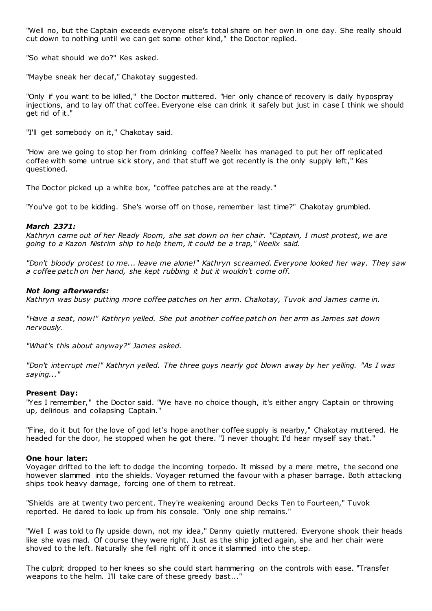"Well no, but the Captain exceeds everyone else's total share on her own in one day. She really should cut down to nothing until we can get some other kind," the Doctor replied.

"So what should we do?" Kes asked.

"Maybe sneak her decaf," Chakotay suggested.

"Only if you want to be killed," the Doctor muttered. "Her only chance of recovery is daily hypospray injections, and to lay off that coffee. Everyone else can drink it safely but just in case I think we should get rid of it."

"I'll get somebody on it," Chakotay said.

"How are we going to stop her from drinking coffee? Neelix has managed to put her off replicated coffee with some untrue sick story, and that stuff we got recently is the only supply left," Kes questioned.

The Doctor picked up a white box, "coffee patches are at the ready."

"You've got to be kidding. She's worse off on those, remember last time?" Chakotay grumbled.

## *March 2371:*

*Kathryn came out of her Ready Room, she sat down on her chair. "Captain, I must protest, we are going to a Kazon Nistrim ship to help them, it could be a trap," Neelix said.*

*"Don't bloody protest to me... leave me alone!" Kathryn screamed. Everyone looked her way. They saw a coffee patch on her hand, she kept rubbing it but it wouldn't come off.*

#### *Not long afterwards:*

*Kathryn was busy putting more coffee patches on her arm. Chakotay, Tuvok and James came in.*

*"Have a seat, now!" Kathryn yelled. She put another coffee patch on her arm as James sat down nervously.*

*"What's this about anyway?" James asked.*

*"Don't interrupt me!" Kathryn yelled. The three guys nearly got blown away by her yelling. "As I was saying..."*

## **Present Day:**

"Yes I remember," the Doctor said. "We have no choice though, it's either angry Captain or throwing up, delirious and collapsing Captain."

"Fine, do it but for the love of god let's hope another coffee supply is nearby," Chakotay muttered. He headed for the door, he stopped when he got there. "I never thought I'd hear myself say that."

#### **One hour later:**

Voyager drifted to the left to dodge the incoming torpedo. It missed by a mere metre, the second one however slammed into the shields. Voyager returned the favour with a phaser barrage. Both attacking ships took heavy damage, forcing one of them to retreat.

"Shields are at twenty two percent. They're weakening around Decks Ten to Fourteen," Tuvok reported. He dared to look up from his console. "Only one ship remains."

"Well I was told to fly upside down, not my idea," Danny quietly muttered. Everyone shook their heads like she was mad. Of course they were right. Just as the ship jolted again, she and her chair were shoved to the left. Naturally she fell right off it once it slammed into the step.

The culprit dropped to her knees so she could start hammering on the controls with ease. "Transfer weapons to the helm. I'll take care of these greedy bast..."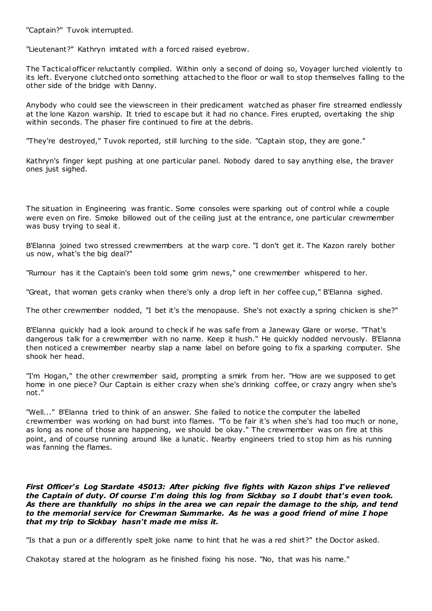"Captain?" Tuvok interrupted.

"Lieutenant?" Kathryn imitated with a forced raised eyebrow.

The Tactical officer reluctantly complied. Within only a second of doing so, Voyager lurched violently to its left. Everyone clutched onto something attached to the floor or wall to stop themselves falling to the other side of the bridge with Danny.

Anybody who could see the viewscreen in their predicament watched as phaser fire streamed endlessly at the lone Kazon warship. It tried to escape but it had no chance. Fires erupted, overtaking the ship within seconds. The phaser fire continued to fire at the debris.

"They're destroyed," Tuvok reported, still lurching to the side. "Captain stop, they are gone."

Kathryn's finger kept pushing at one particular panel. Nobody dared to say anything else, the braver ones just sighed.

The situation in Engineering was frantic . Some consoles were sparking out of control while a couple were even on fire. Smoke billowed out of the ceiling just at the entrance, one particular crewmember was busy trying to seal it.

B'Elanna joined two stressed crewmembers at the warp core. "I don't get it. The Kazon rarely bother us now, what's the big deal?"

"Rumour has it the Captain's been told some grim news," one crewmember whispered to her.

"Great, that woman gets cranky when there's only a drop left in her coffee cup," B'Elanna sighed.

The other crewmember nodded, "I bet it's the menopause. She's not exactly a spring chicken is she?"

B'Elanna quickly had a look around to check if he was safe from a Janeway Glare or worse. "That's dangerous talk for a crewmember with no name. Keep it hush." He quickly nodded nervously. B'Elanna then noticed a crewmember nearby slap a name label on before going to fix a sparking computer. She shook her head.

"I'm Hogan," the other crewmember said, prompting a smirk from her. "How are we supposed to get home in one piece? Our Captain is either crazy when she's drinking coffee, or crazy angry when she's not."

"Well..." B'Elanna tried to think of an answer. She failed to notice the computer the labelled crewmember was working on had burst into flames. "To be fair it's when she's had too much or none, as long as none of those are happening, we should be okay." The crewmember was on fire at this point, and of course running around like a lunatic. Nearby engineers tried to stop him as his running was fanning the flames.

*First Officer's Log Stardate 45013: After picking five fights with Kazon ships I've relieved the Captain of duty. Of course I'm doing this log from Sickbay so I doubt that's even took. As there are thankfully no ships in the area we can repair the damage to the ship, and tend to the memorial service for Crewman Summarke. As he was a good friend of mine I hope that my trip to Sickbay hasn't made me miss it.*

"Is that a pun or a differently spelt joke name to hint that he was a red shirt?" the Doctor asked.

Chakotay stared at the hologram as he finished fixing his nose. "No, that was his name."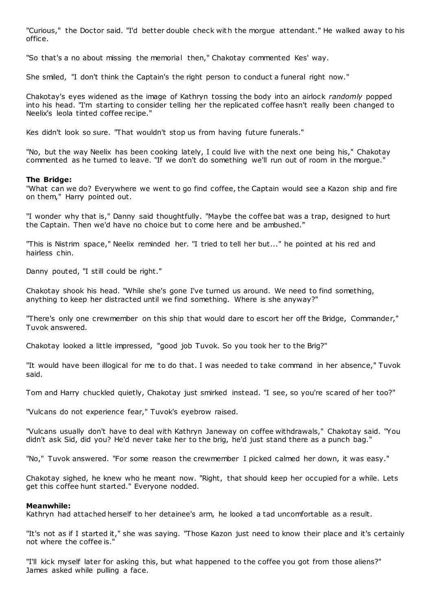"Curious," the Doctor said. "I'd better double check with the morgue attendant." He walked away to his office.

"So that's a no about missing the memorial then," Chakotay commented Kes' way.

She smiled, "I don't think the Captain's the right person to conduct a funeral right now."

Chakotay's eyes widened as the image of Kathryn tossing the body into an airlock *randomly* popped into his head. "I'm starting to consider telling her the replicated coffee hasn't really been changed to Neelix's leola tinted coffee recipe."

Kes didn't look so sure. "That wouldn't stop us from having future funerals."

"No, but the way Neelix has been cooking lately, I could live with the next one being his," Chakotay commented as he turned to leave. "If we don't do something we'll run out of room in the morgue."

# **The Bridge:**

"What can we do? Everywhere we went to go find coffee, the Captain would see a Kazon ship and fire on them," Harry pointed out.

"I wonder why that is," Danny said thoughtfully. "Maybe the coffee bat was a trap, designed to hurt the Captain. Then we'd have no choice but to come here and be ambushed."

"This is Nistrim space," Neelix reminded her. "I tried to tell her but..." he pointed at his red and hairless chin.

Danny pouted, "I still could be right."

Chakotay shook his head. "While she's gone I've turned us around. We need to find something, anything to keep her distracted until we find something. Where is she anyway?"

"There's only one crewmember on this ship that would dare to escort her off the Bridge, Commander," Tuvok answered.

Chakotay looked a little impressed, "good job Tuvok. So you took her to the Brig?"

"It would have been illogical for me to do that. I was needed to take command in her absence," Tuvok said.

Tom and Harry chuckled quietly, Chakotay just smirked instead. "I see, so you're scared of her too?"

"Vulcans do not experience fear," Tuvok's eyebrow raised.

"Vulcans usually don't have to deal with Kathryn Janeway on coffee withdrawals," Chakotay said. "You didn't ask Sid, did you? He'd never take her to the brig, he'd just stand there as a punch bag."

"No," Tuvok answered. "For some reason the crewmember I picked calmed her down, it was easy."

Chakotay sighed, he knew who he meant now. "Right, that should keep her occupied for a while. Lets get this coffee hunt started." Everyone nodded.

# **Meanwhile:**

Kathryn had attached herself to her detainee's arm, he looked a tad uncomfortable as a result.

"It's not as if I started it," she was saying. "Those Kazon just need to know their place and it's certainly not where the coffee is."

"I'll kick myself later for asking this, but what happened to the coffee you got from those aliens?" James asked while pulling a face.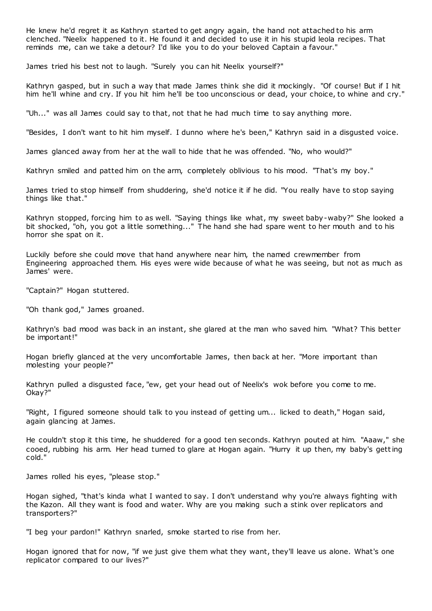He knew he'd regret it as Kathryn started to get angry again, the hand not attached to his arm clenched. "Neelix happened to it. He found it and decided to use it in his stupid leola recipes. That reminds me, can we take a detour? I'd like you to do your beloved Captain a favour."

James tried his best not to laugh. "Surely you can hit Neelix yourself?"

Kathryn gasped, but in such a way that made James think she did it mockingly. "Of course! But if I hit him he'll whine and cry. If you hit him he'll be too unconscious or dead, your choice, to whine and cry."

"Uh..." was all James could say to that, not that he had much time to say anything more.

"Besides, I don't want to hit him myself. I dunno where he's been," Kathryn said in a disgusted voice.

James glanced away from her at the wall to hide that he was offended. "No, who would?"

Kathryn smiled and patted him on the arm, completely oblivious to his mood. "That's my boy."

James tried to stop himself from shuddering, she'd notice it if he did. "You really have to stop saying things like that."

Kathryn stopped, forcing him to as well. "Saying things like what, my sweet baby-waby?" She looked a bit shocked, "oh, you got a little something..." The hand she had spare went to her mouth and to his horror she spat on it.

Luckily before she could move that hand anywhere near him, the named crewmember from Engineering approached them. His eyes were wide because of what he was seeing, but not as much as James' were.

"Captain?" Hogan stuttered.

"Oh thank god," James groaned.

Kathryn's bad mood was back in an instant, she glared at the man who saved him. "What? This better be important!"

Hogan briefly glanced at the very uncomfortable James, then back at her. "More important than molesting your people?"

Kathryn pulled a disgusted face, "ew, get your head out of Neelix's wok before you come to me. Okay?"

"Right, I figured someone should talk to you instead of getting um... licked to death," Hogan said, again glancing at James.

He couldn't stop it this time, he shuddered for a good ten seconds. Kathryn pouted at him. "Aaaw," she cooed, rubbing his arm. Her head turned to glare at Hogan again. "Hurry it up then, my baby's getting cold."

James rolled his eyes, "please stop."

Hogan sighed, "that's kinda what I wanted to say. I don't understand why you're always fighting with the Kazon. All they want is food and water. Why are you making such a stink over replicators and transporters?"

"I beg your pardon!" Kathryn snarled, smoke started to rise from her.

Hogan ignored that for now, "if we just give them what they want, they'll leave us alone. What's one replicator compared to our lives?"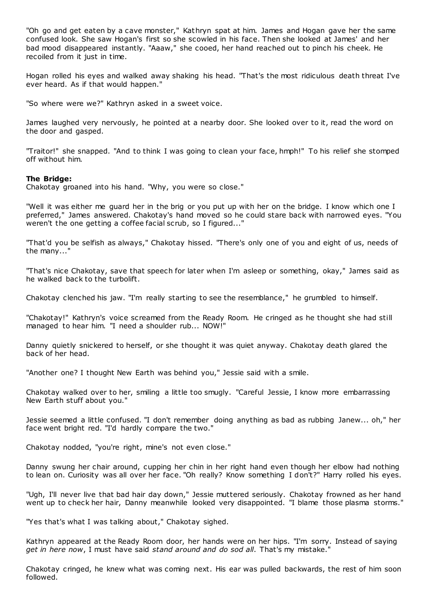"Oh go and get eaten by a cave monster," Kathryn spat at him. James and Hogan gave her the same confused look. She saw Hogan's first so she scowled in his face. Then she looked at James' and her bad mood disappeared instantly. "Aaaw," she cooed, her hand reached out to pinch his cheek. He recoiled from it just in time.

Hogan rolled his eyes and walked away shaking his head. "That's the most ridiculous death threat I've ever heard. As if that would happen."

"So where were we?" Kathryn asked in a sweet voice.

James laughed very nervously, he pointed at a nearby door. She looked over to it, read the word on the door and gasped.

"Traitor!" she snapped. "And to think I was going to clean your face, hmph!" To his relief she stomped off without him.

## **The Bridge:**

Chakotay groaned into his hand. "Why, you were so close."

"Well it was either me guard her in the brig or you put up with her on the bridge. I know which one I preferred," James answered. Chakotay's hand moved so he could stare back with narrowed eyes. "You weren't the one getting a coffee facial scrub, so I figured..."

"That'd you be selfish as always," Chakotay hissed. "There's only one of you and eight of us, needs of the many..."

"That's nice Chakotay, save that speech for later when I'm asleep or something, okay," James said as he walked back to the turbolift.

Chakotay clenched his jaw. "I'm really starting to see the resemblance," he grumbled to himself.

"Chakotay!" Kathryn's voice screamed from the Ready Room. He cringed as he thought she had still managed to hear him. "I need a shoulder rub... NOW!"

Danny quietly snickered to herself, or she thought it was quiet anyway. Chakotay death glared the back of her head.

"Another one? I thought New Earth was behind you," Jessie said with a smile.

Chakotay walked over to her, smiling a little too smugly. "Careful Jessie, I know more embarrassing New Earth stuff about you."

Jessie seemed a little confused. "I don't remember doing anything as bad as rubbing Janew... oh," her face went bright red. "I'd hardly compare the two."

Chakotay nodded, "you're right, mine's not even close."

Danny swung her chair around, cupping her chin in her right hand even though her elbow had nothing to lean on. Curiosity was all over her face. "Oh really? Know something I don't?" Harry rolled his eyes.

"Ugh, I'll never live that bad hair day down," Jessie muttered seriously. Chakotay frowned as her hand went up to check her hair, Danny meanwhile looked very disappointed. "I blame those plasma storms."

"Yes that's what I was talking about," Chakotay sighed.

Kathryn appeared at the Ready Room door, her hands were on her hips. "I'm sorry. Instead of saying *get in here now*, I must have said *stand around and do sod all*. That's my mistake."

Chakotay cringed, he knew what was coming next. His ear was pulled backwards, the rest of him soon followed.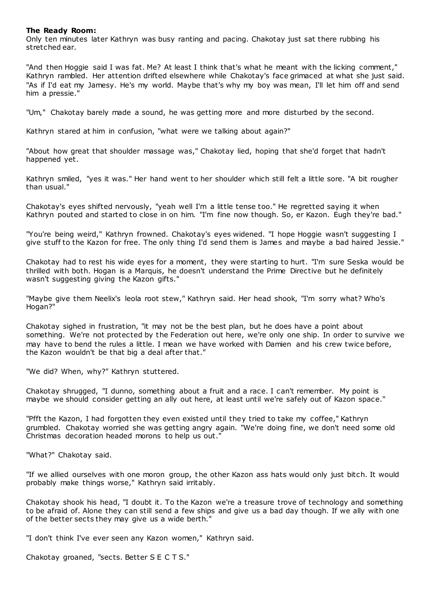# **The Ready Room:**

Only ten minutes later Kathryn was busy ranting and pacing. Chakotay just sat there rubbing his stretched ear.

"And then Hoggie said I was fat. Me? At least I think that's what he meant with the licking comment," Kathryn rambled. Her attention drifted elsewhere while Chakotay's face grimaced at what she just said. "As if I'd eat my Jamesy. He's my world. Maybe that's why my boy was mean, I'll let him off and send him a pressie."

"Um," Chakotay barely made a sound, he was getting more and more disturbed by the second.

Kathryn stared at him in confusion, "what were we talking about again?"

"About how great that shoulder massage was," Chakotay lied, hoping that she'd forget that hadn't happened yet.

Kathryn smiled, "yes it was." Her hand went to her shoulder which still felt a little sore. "A bit rougher than usual."

Chakotay's eyes shifted nervously, "yeah well I'm a little tense too." He regretted saying it when Kathryn pouted and started to close in on him. "I'm fine now though. So, er Kazon. Eugh they're bad."

"You're being weird," Kathryn frowned. Chakotay's eyes widened. "I hope Hoggie wasn't suggesting I give stuff to the Kazon for free. The only thing I'd send them is James and maybe a bad haired Jessie."

Chakotay had to rest his wide eyes for a moment, they were starting to hurt. "I'm sure Seska would be thrilled with both. Hogan is a Marquis, he doesn't understand the Prime Directive but he definitely wasn't suggesting giving the Kazon gifts."

"Maybe give them Neelix's leola root stew," Kathryn said. Her head shook, "I'm sorry what? Who's Hogan?"

Chakotay sighed in frustration, "it may not be the best plan, but he does have a point about something. We're not protected by the Federation out here, we're only one ship. In order to survive we may have to bend the rules a little. I mean we have worked with Damien and his crew twice before, the Kazon wouldn't be that big a deal after that."

"We did? When, why?" Kathryn stuttered.

Chakotay shrugged, "I dunno, something about a fruit and a race. I can't remember. My point is maybe we should consider getting an ally out here, at least until we're safely out of Kazon space."

"Pfft the Kazon, I had forgotten they even existed until they tried to take my coffee," Kathryn grumbled. Chakotay worried she was getting angry again. "We're doing fine, we don't need some old Christmas decoration headed morons to help us out."

"What?" Chakotay said.

"If we allied ourselves with one moron group, the other Kazon ass hats would only just bitch. It would probably make things worse," Kathryn said irritably.

Chakotay shook his head, "I doubt it. To the Kazon we're a treasure trove of technology and something to be afraid of. Alone they can still send a few ships and give us a bad day though. If we ally with one of the better sects they may give us a wide berth."

"I don't think I've ever seen any Kazon women," Kathryn said.

Chakotay groaned, "sects. Better S E C T S."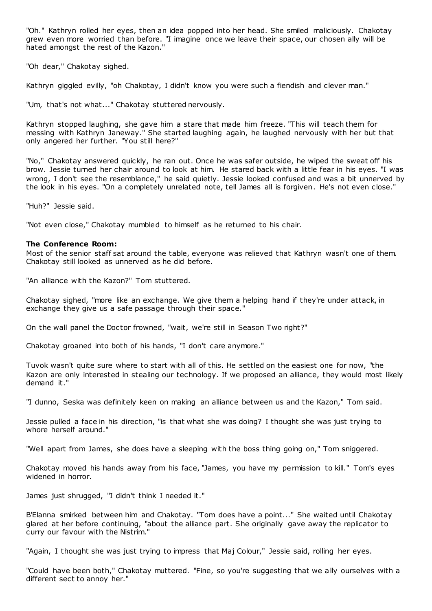"Oh." Kathryn rolled her eyes, then an idea popped into her head. She smiled maliciously. Chakotay grew even more worried than before. "I imagine once we leave their space, our chosen ally will be hated amongst the rest of the Kazon."

"Oh dear," Chakotay sighed.

Kathryn giggled evilly, "oh Chakotay, I didn't know you were such a fiendish and clever man."

"Um, that's not what..." Chakotay stuttered nervously.

Kathryn stopped laughing, she gave him a stare that made him freeze. "This will teach them for messing with Kathryn Janeway." She started laughing again, he laughed nervously with her but that only angered her further. "You still here?"

"No," Chakotay answered quickly, he ran out. Once he was safer outside, he wiped the sweat off his brow. Jessie turned her chair around to look at him. He stared back with a little fear in his eyes. "I was wrong, I don't see the resemblance," he said quietly. Jessie looked confused and was a bit unnerved by the look in his eyes. "On a completely unrelated note, tell James all is forgiven. He's not even close."

"Huh?" Jessie said.

"Not even close," Chakotay mumbled to himself as he returned to his chair.

# **The Conference Room:**

Most of the senior staff sat around the table, everyone was relieved that Kathryn wasn't one of them. Chakotay still looked as unnerved as he did before.

"An alliance with the Kazon?" Tom stuttered.

Chakotay sighed, "more like an exchange. We give them a helping hand if they're under attack, in exchange they give us a safe passage through their space."

On the wall panel the Doctor frowned, "wait, we're still in Season Two right?"

Chakotay groaned into both of his hands, "I don't care anymore."

Tuvok wasn't quite sure where to start with all of this. He settled on the easiest one for now, "the Kazon are only interested in stealing our technology. If we proposed an alliance, they would most likely demand it."

"I dunno, Seska was definitely keen on making an alliance between us and the Kazon," Tom said.

Jessie pulled a face in his direction, "is that what she was doing? I thought she was just trying to whore herself around."

"Well apart from James, she does have a sleeping with the boss thing going on," Tom sniggered.

Chakotay moved his hands away from his face, "James, you have my permission to kill." Tom's eyes widened in horror.

James just shrugged, "I didn't think I needed it."

B'Elanna smirked between him and Chakotay. "Tom does have a point..." She waited until Chakotay glared at her before continuing, "about the alliance part. She originally gave away the replicator to curry our favour with the Nistrim."

"Again, I thought she was just trying to impress that Maj Colour," Jessie said, rolling her eyes.

"Could have been both," Chakotay muttered. "Fine, so you're suggesting that we ally ourselves with a different sect to annoy her."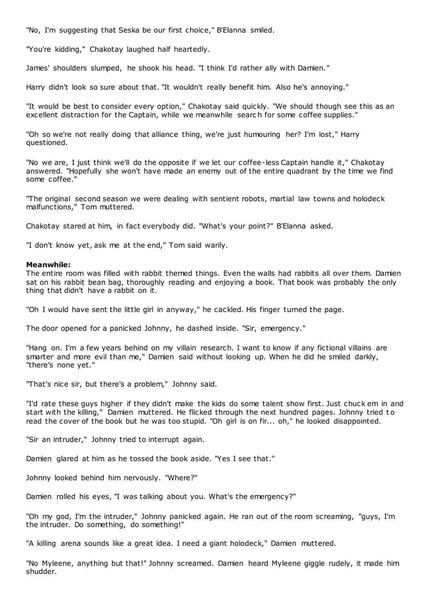"No, I'm suggesting that Seska be our first choice," B'Elanna smiled.

"You're kidding," Chakotay laughed half heartedly.

James' shoulders slumped, he shook his head. "I think I'd rather ally with Damien."

Harry didn't look so sure about that. "It wouldn't really benefit him. Also he's annoying."

"It would be best to consider every option," Chakotay said quickly. "We should though see this as an excellent distraction for the Captain, while we meanwhile searc h for some coffee supplies."

"Oh so we're not really doing that alliance thing, we're just humouring her? I'm lost," Harry questioned.

"No we are, I just think we'll do the opposite if we let our coffee-less Captain handle it," Chakotay answered. "Hopefully she won't have made an enemy out of the entire quadrant by the time we find some coffee."

"The original second season we were dealing with sentient robots, martial law towns and holodeck malfunctions," Tom muttered.

Chakotay stared at him, in fact everybody did. "What's your point?" B'Elanna asked.

"I don't know yet, ask me at the end," Tom said warily.

## **Meanwhile:**

The entire room was filled with rabbit themed things. Even the walls had rabbits all over them. Damien sat on his rabbit bean bag, thoroughly reading and enjoying a book. That book was probably the only thing that didn't have a rabbit on it.

"Oh I would have sent the little girl in anyway," he cackled. His finger turned the page.

The door opened for a panicked Johnny, he dashed inside. "Sir, emergency."

"Hang on. I'm a few years behind on my villain research. I want to know if any fictional villains are smarter and more evil than me," Damien said without looking up. When he did he smiled darkly, "there's none yet."

"That's nice sir, but there's a problem," Johnny said.

"I'd rate these guys higher if they didn't make the kids do some talent show first. Just chuck em in and start with the killing," Damien muttered. He flicked through the next hundred pages. Johnny tried to read the cover of the book but he was too stupid. "Oh girl is on fir... oh," he looked disappointed.

"Sir an intruder," Johnny tried to interrupt again.

Damien glared at him as he tossed the book aside. "Yes I see that."

Johnny looked behind him nervously. "Where?"

Damien rolled his eyes, "I was talking about you. What's the emergency?"

"Oh my god, I'm the intruder," Johnny panicked again. He ran out of the room screaming, "guys, I'm the intruder. Do something, do something!"

"A killing arena sounds like a great idea. I need a giant holodeck," Damien muttered.

"No Myleene, anything but that!" Johnny screamed. Damien heard Myleene giggle rudely, it made him shudder.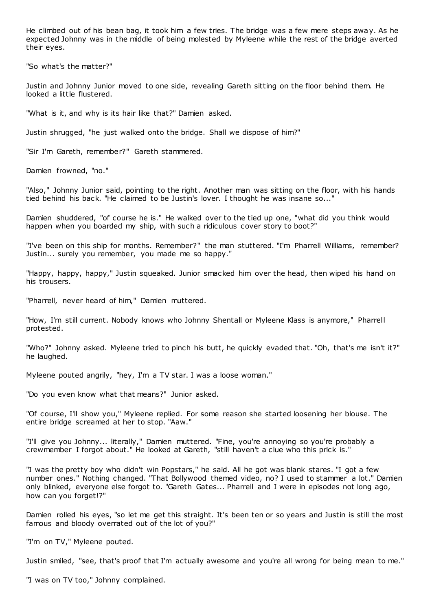He climbed out of his bean bag, it took him a few tries. The bridge was a few mere steps away. As he expected Johnny was in the middle of being molested by Myleene while the rest of the bridge averted their eyes.

"So what's the matter?"

Justin and Johnny Junior moved to one side, revealing Gareth sitting on the floor behind them. He looked a little flustered.

"What is it, and why is its hair like that?" Damien asked.

Justin shrugged, "he just walked onto the bridge. Shall we dispose of him?"

"Sir I'm Gareth, remember?" Gareth stammered.

Damien frowned, "no."

"Also," Johnny Junior said, pointing to the right. Another man was sitting on the floor, with his hands tied behind his back. "He claimed to be Justin's lover. I thought he was insane so..."

Damien shuddered, "of course he is." He walked over to the tied up one, "what did you think would happen when you boarded my ship, with such a ridiculous cover story to boot?"

"I've been on this ship for months. Remember?" the man stuttered. "I'm Pharrell Williams, remember? Justin... surely you remember, you made me so happy."

"Happy, happy, happy," Justin squeaked. Junior smacked him over the head, then wiped his hand on his trousers.

"Pharrell, never heard of him," Damien muttered.

"How, I'm still current. Nobody knows who Johnny Shentall or Myleene Klass is anymore," Pharrell protested.

"Who?" Johnny asked. Myleene tried to pinch his butt, he quickly evaded that. "Oh, that's me isn't it?" he laughed.

Myleene pouted angrily, "hey, I'm a TV star. I was a loose woman."

"Do you even know what that means?" Junior asked.

"Of course, I'll show you," Myleene replied. For some reason she started loosening her blouse. The entire bridge screamed at her to stop. "Aaw."

"I'll give you Johnny... literally," Damien muttered. "Fine, you're annoying so you're probably a crewmember I forgot about." He looked at Gareth, "still haven't a clue who this prick is."

"I was the pretty boy who didn't win Popstars," he said. All he got was blank stares. "I got a few number ones." Nothing changed. "That Bollywood themed video, no? I used to stammer a lot." Damien only blinked, everyone else forgot to. "Gareth Gates... Pharrell and I were in episodes not long ago, how can you forget!?"

Damien rolled his eyes, "so let me get this straight. It's been ten or so years and Justin is still the most famous and bloody overrated out of the lot of you?"

"I'm on TV," Myleene pouted.

Justin smiled, "see, that's proof that I'm actually awesome and you're all wrong for being mean to me."

"I was on TV too," Johnny complained.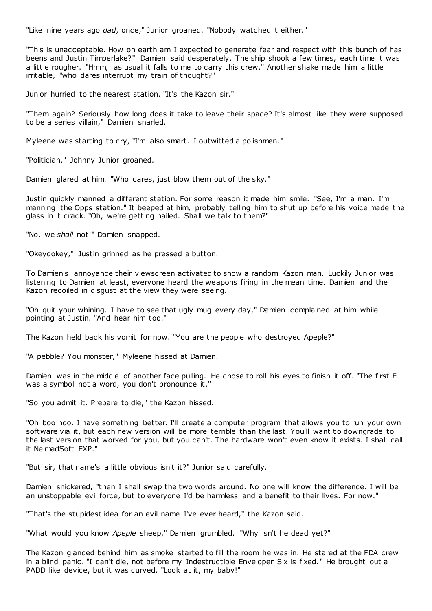"Like nine years ago *dad*, once," Junior groaned. "Nobody watched it either."

"This is unacceptable. How on earth am I expected to generate fear and respect with this bunch of has beens and Justin Timberlake?" Damien said desperately. The ship shook a few times, each time it was a little rougher. "Hmm, as usual it falls to me to carry this crew." Another shake made him a little irritable, "who dares interrupt my train of thought?"

Junior hurried to the nearest station. "It's the Kazon sir."

"Them again? Seriously how long does it take to leave their space? It's almost like they were supposed to be a series villain," Damien snarled.

Myleene was starting to cry, "I'm also smart. I outwitted a polishmen."

"Politician," Johnny Junior groaned.

Damien glared at him. "Who cares, just blow them out of the sky."

Justin quickly manned a different station. For some reason it made him smile. "See, I'm a man. I'm manning the Opps station." It beeped at him, probably telling him to shut up before his voice made the glass in it crack. "Oh, we're getting hailed. Shall we talk to them?"

"No, we *shall* not!" Damien snapped.

"Okeydokey," Justin grinned as he pressed a button.

To Damien's annoyance their viewscreen activated to show a random Kazon man. Luckily Junior was listening to Damien at least, everyone heard the weapons firing in the mean time. Damien and the Kazon recoiled in disgust at the view they were seeing.

"Oh quit your whining. I have to see that ugly mug every day," Damien complained at him while pointing at Justin. "And hear him too."

The Kazon held back his vomit for now. "You are the people who destroyed Apeple?"

"A pebble? You monster," Myleene hissed at Damien.

Damien was in the middle of another face pulling. He chose to roll his eyes to finish it off. "The first E was a symbol not a word, you don't pronounce it."

"So you admit it. Prepare to die," the Kazon hissed.

"Oh boo hoo. I have something better. I'll create a computer program that allows you to run your own software via it, but each new version will be more terrible than the last. You'll want to downgrade to the last version that worked for you, but you can't. The hardware won't even know it exists. I shall call it NeimadSoft EXP."

"But sir, that name's a little obvious isn't it?" Junior said carefully.

Damien snickered, "then I shall swap the two words around. No one will know the difference. I will be an unstoppable evil force, but to everyone I'd be harmless and a benefit to their lives. For now."

"That's the stupidest idea for an evil name I've ever heard," the Kazon said.

"What would you know *Apeple* sheep," Damien grumbled. "Why isn't he dead yet?"

The Kazon glanced behind him as smoke started to fill the room he was in. He stared at the FDA crew in a blind panic . "I can't die, not before my Indestructible Enveloper Six is fixed. " He brought out a PADD like device, but it was curved. "Look at it, my baby!"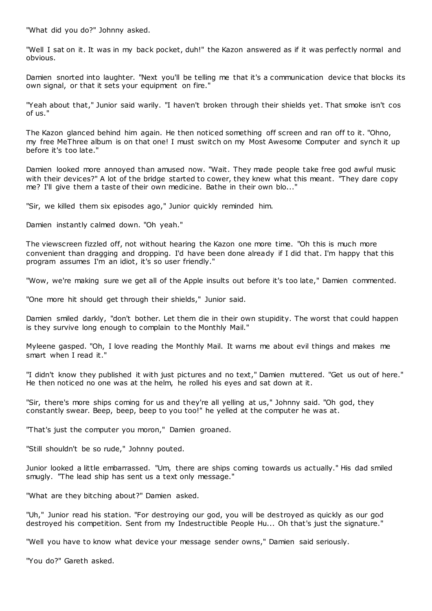"What did you do?" Johnny asked.

"Well I sat on it. It was in my back pocket, duh!" the Kazon answered as if it was perfectly normal and obvious.

Damien snorted into laughter. "Next you'll be telling me that it's a communication device that blocks its own signal, or that it sets your equipment on fire."

"Yeah about that," Junior said warily. "I haven't broken through their shields yet. That smoke isn't cos of us."

The Kazon glanced behind him again. He then noticed something off screen and ran off to it. "Ohno, my free MeThree album is on that one! I must switch on my Most Awesome Computer and synch it up before it's too late."

Damien looked more annoyed than amused now. "Wait. They made people take free god awful music with their devices?" A lot of the bridge started to cower, they knew what this meant. "They dare copy me? I'll give them a taste of their own medicine. Bathe in their own blo..."

"Sir, we killed them six episodes ago," Junior quickly reminded him.

Damien instantly calmed down. "Oh yeah."

The viewscreen fizzled off, not without hearing the Kazon one more time. "Oh this is much more convenient than dragging and dropping. I'd have been done already if I did that. I'm happy that this program assumes I'm an idiot, it's so user friendly."

"Wow, we're making sure we get all of the Apple insults out before it's too late," Damien commented.

"One more hit should get through their shields," Junior said.

Damien smiled darkly, "don't bother. Let them die in their own stupidity. The worst that could happen is they survive long enough to complain to the Monthly Mail."

Myleene gasped. "Oh, I love reading the Monthly Mail. It warns me about evil things and makes me smart when I read it."

"I didn't know they published it with just pictures and no text," Damien muttered. "Get us out of here." He then noticed no one was at the helm, he rolled his eyes and sat down at it.

"Sir, there's more ships coming for us and they're all yelling at us," Johnny said. "Oh god, they constantly swear. Beep, beep, beep to you too!" he yelled at the computer he was at.

"That's just the computer you moron," Damien groaned.

"Still shouldn't be so rude," Johnny pouted.

Junior looked a little embarrassed. "Um, there are ships coming towards us actually." His dad smiled smugly. "The lead ship has sent us a text only message."

"What are they bitching about?" Damien asked.

"Uh," Junior read his station. "For destroying our god, you will be destroyed as quickly as our god destroyed his competition. Sent from my Indestructible People Hu... Oh that's just the signature."

"Well you have to know what device your message sender owns," Damien said seriously.

"You do?" Gareth asked.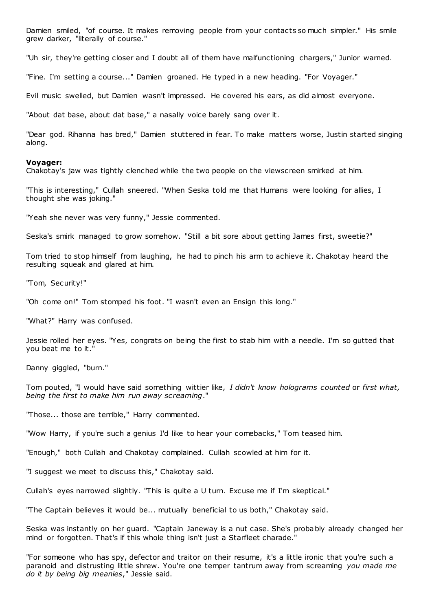Damien smiled, "of course. It makes removing people from your contacts so much simpler." His smile grew darker, "literally of course."

"Uh sir, they're getting closer and I doubt all of them have malfunctioning chargers," Junior warned.

"Fine. I'm setting a course..." Damien groaned. He typed in a new heading. "For Voyager."

Evil music swelled, but Damien wasn't impressed. He covered his ears, as did almost everyone.

"About dat base, about dat base," a nasally voice barely sang over it.

"Dear god. Rihanna has bred," Damien stuttered in fear. To make matters worse, Justin started singing along.

#### **Voyager:**

Chakotay's jaw was tightly clenched while the two people on the viewscreen smirked at him.

"This is interesting," Cullah sneered. "When Seska told me that Humans were looking for allies, I thought she was joking."

"Yeah she never was very funny," Jessie commented.

Seska's smirk managed to grow somehow. "Still a bit sore about getting James first, sweetie?"

Tom tried to stop himself from laughing, he had to pinch his arm to achieve it. Chakotay heard the resulting squeak and glared at him.

"Tom, Security!"

"Oh come on!" Tom stomped his foot. "I wasn't even an Ensign this long."

"What?" Harry was confused.

Jessie rolled her eyes. "Yes, congrats on being the first to stab him with a needle. I'm so gutted that you beat me to it."

Danny giggled, "burn."

Tom pouted, "I would have said something wittier like, *I didn't know holograms counted* or *first what, being the first to make him run away screaming*."

"Those... those are terrible," Harry commented.

"Wow Harry, if you're such a genius I'd like to hear your comebacks," Tom teased him.

"Enough," both Cullah and Chakotay complained. Cullah scowled at him for it.

"I suggest we meet to discuss this," Chakotay said.

Cullah's eyes narrowed slightly. "This is quite a U turn. Excuse me if I'm skeptical."

"The Captain believes it would be... mutually beneficial to us both," Chakotay said.

Seska was instantly on her guard. "Captain Janeway is a nut case. She's probably already changed her mind or forgotten. That's if this whole thing isn't just a Starfleet charade."

"For someone who has spy, defector and traitor on their resume, it's a little ironic that you're such a paranoid and distrusting little shrew. You're one temper tantrum away from screaming *you made me do it by being big meanies*," Jessie said.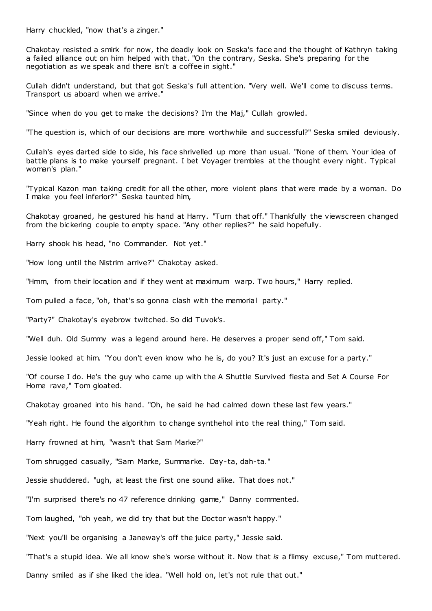Harry chuckled, "now that's a zinger."

Chakotay resisted a smirk for now, the deadly look on Seska's face and the thought of Kathryn taking a failed alliance out on him helped with that. "On the contrary, Seska. She's preparing for the negotiation as we speak and there isn't a coffee in sight."

Cullah didn't understand, but that got Seska's full attention. "Very well. We'll come to discuss terms. Transport us aboard when we arrive."

"Since when do you get to make the decisions? I'm the Maj," Cullah growled.

"The question is, which of our decisions are more worthwhile and successful?" Seska smiled deviously.

Cullah's eyes darted side to side, his face shrivelled up more than usual. "None of them. Your idea of battle plans is to make yourself pregnant. I bet Voyager trembles at the thought every night. Typical woman's plan."

"Typical Kazon man taking credit for all the other, more violent plans that were made by a woman. Do I make you feel inferior?" Seska taunted him,

Chakotay groaned, he gestured his hand at Harry. "Turn that off." Thankfully the viewscreen changed from the bickering couple to empty space. "Any other replies?" he said hopefully.

Harry shook his head, "no Commander. Not yet."

"How long until the Nistrim arrive?" Chakotay asked.

"Hmm, from their location and if they went at maximum warp. Two hours," Harry replied.

Tom pulled a face, "oh, that's so gonna clash with the memorial party."

"Party?" Chakotay's eyebrow twitched. So did Tuvok's.

"Well duh. Old Summy was a legend around here. He deserves a proper send off," Tom said.

Jessie looked at him. "You don't even know who he is, do you? It's just an excuse for a party."

"Of course I do. He's the guy who came up with the A Shuttle Survived fiesta and Set A Course For Home rave," Tom gloated.

Chakotay groaned into his hand. "Oh, he said he had calmed down these last few years."

"Yeah right. He found the algorithm to change synthehol into the real thing," Tom said.

Harry frowned at him, "wasn't that Sam Marke?"

Tom shrugged casually, "Sam Marke, Summarke. Day-ta, dah-ta."

Jessie shuddered. "ugh, at least the first one sound alike. That does not."

"I'm surprised there's no 47 reference drinking game," Danny commented.

Tom laughed, "oh yeah, we did try that but the Doctor wasn't happy."

"Next you'll be organising a Janeway's off the juice party," Jessie said.

"That's a stupid idea. We all know she's worse without it. Now that *is* a flimsy excuse," Tom muttered.

Danny smiled as if she liked the idea. "Well hold on, let's not rule that out."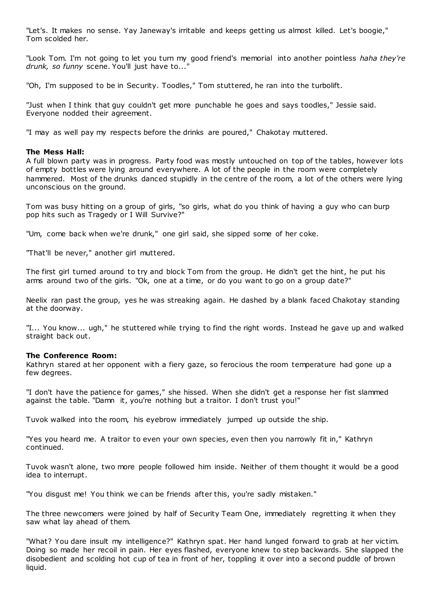"Let's. It makes no sense. Yay Janeway's irritable and keeps getting us almost killed. Let's boogie," Tom scolded her.

"Look Tom. I'm not going to let you turn my good friend's memorial into another pointless *haha they're drunk, so funny* scene. You'll just have to..."

"Oh, I'm supposed to be in Security. Toodles," Tom stuttered, he ran into the turbolift.

"Just when I think that guy couldn't get more punchable he goes and says toodles," Jessie said. Everyone nodded their agreement.

"I may as well pay my respects before the drinks are poured," Chakotay muttered.

# **The Mess Hall:**

A full blown party was in progress. Party food was mostly untouched on top of the tables, however lots of empty bottles were lying around everywhere. A lot of the people in the room were completely hammered. Most of the drunks danced stupidly in the centre of the room, a lot of the others were lying unconscious on the ground.

Tom was busy hitting on a group of girls, "so girls, what do you think of having a guy who can burp pop hits such as Tragedy or I Will Survive?"

"Um, come back when we're drunk," one girl said, she sipped some of her coke.

"That'll be never," another girl muttered.

The first girl turned around to try and block Tom from the group. He didn't get the hint, he put his arms around two of the girls. "Ok, one at a time, or do you want to go on a group date?"

Neelix ran past the group, yes he was streaking again. He dashed by a blank faced Chakotay standing at the doorway.

"I... You know... ugh," he stuttered while trying to find the right words. Instead he gave up and walked straight back out.

# **The Conference Room:**

Kathryn stared at her opponent with a fiery gaze, so ferocious the room temperature had gone up a few degrees.

"I don't have the patience for games," she hissed. When she didn't get a response her fist slammed against the table. "Damn it, you're nothing but a traitor. I don't trust you!"

Tuvok walked into the room, his eyebrow immediately jumped up outside the ship.

"Yes you heard me. A traitor to even your own species, even then you narrowly fit in," Kathryn continued.

Tuvok wasn't alone, two more people followed him inside. Neither of them thought it would be a good idea to interrupt.

"You disgust me! You think we can be friends after this, you're sadly mistaken."

The three newcomers were joined by half of Security Team One, immediately regretting it when they saw what lay ahead of them.

"What? You dare insult my intelligence?" Kathryn spat. Her hand lunged forward to grab at her victim. Doing so made her recoil in pain. Her eyes flashed, everyone knew to step backwards. She slapped the disobedient and scolding hot cup of tea in front of her, toppling it over into a second puddle of brown liquid.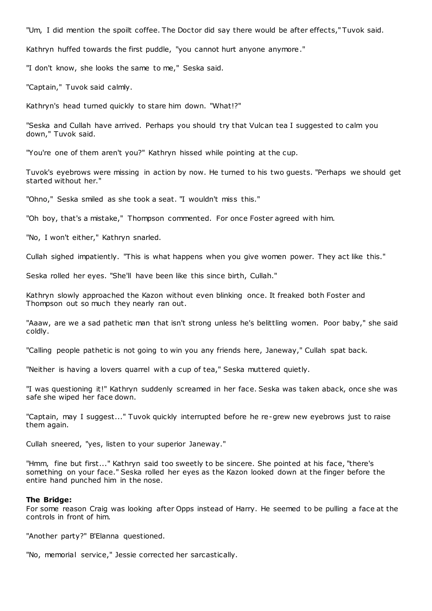"Um, I did mention the spoilt coffee. The Doctor did say there would be after effects," Tuvok said.

Kathryn huffed towards the first puddle, "you cannot hurt anyone anymore."

"I don't know, she looks the same to me," Seska said.

"Captain," Tuvok said calmly.

Kathryn's head turned quickly to stare him down. "What!?"

"Seska and Cullah have arrived. Perhaps you should try that Vulcan tea I suggested to calm you down," Tuvok said.

"You're one of them aren't you?" Kathryn hissed while pointing at the cup.

Tuvok's eyebrows were missing in action by now. He turned to his two guests. "Perhaps we should get started without her."

"Ohno," Seska smiled as she took a seat. "I wouldn't miss this."

"Oh boy, that's a mistake," Thompson commented. For once Foster agreed with him.

"No, I won't either," Kathryn snarled.

Cullah sighed impatiently. "This is what happens when you give women power. They act like this."

Seska rolled her eyes. "She'll have been like this since birth, Cullah."

Kathryn slowly approached the Kazon without even blinking once. It freaked both Foster and Thompson out so much they nearly ran out.

"Aaaw, are we a sad pathetic man that isn't strong unless he's belittling women. Poor baby," she said coldly.

"Calling people pathetic is not going to win you any friends here, Janeway," Cullah spat back.

"Neither is having a lovers quarrel with a cup of tea," Seska muttered quietly.

"I was questioning it!" Kathryn suddenly screamed in her face. Seska was taken aback, once she was safe she wiped her face down.

"Captain, may I suggest..." Tuvok quickly interrupted before he re-grew new eyebrows just to raise them again.

Cullah sneered, "yes, listen to your superior Janeway."

"Hmm, fine but first..." Kathryn said too sweetly to be sincere. She pointed at his face, "there's something on your face." Seska rolled her eyes as the Kazon looked down at the finger before the entire hand punched him in the nose.

#### **The Bridge:**

For some reason Craig was looking after Opps instead of Harry. He seemed to be pulling a face at the controls in front of him.

"Another party?" B'Elanna questioned.

"No, memorial service," Jessie corrected her sarcastically.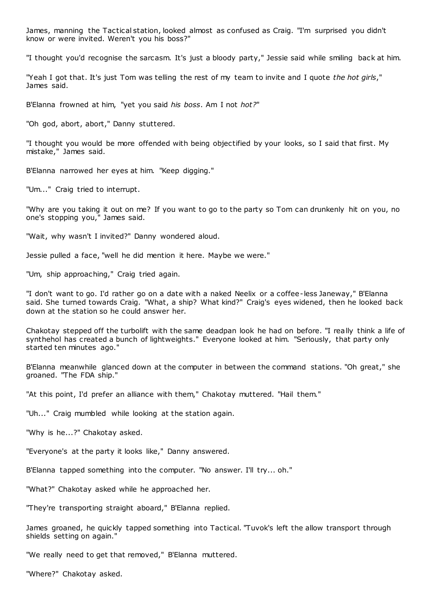James, manning the Tactical station, looked almost as confused as Craig. "I'm surprised you didn't know or were invited. Weren't you his boss?"

"I thought you'd recognise the sarcasm. It's just a bloody party," Jessie said while smiling back at him.

"Yeah I got that. It's just Tom was telling the rest of my team to invite and I quote *the hot girls*," James said.

B'Elanna frowned at him, "yet you said *his boss*. Am I not *hot?*"

"Oh god, abort, abort," Danny stuttered.

"I thought you would be more offended with being objectified by your looks, so I said that first. My mistake," James said.

B'Elanna narrowed her eyes at him. "Keep digging."

"Um..." Craig tried to interrupt.

"Why are you taking it out on me? If you want to go to the party so Tom can drunkenly hit on you, no one's stopping you," James said.

"Wait, why wasn't I invited?" Danny wondered aloud.

Jessie pulled a face, "well he did mention it here. Maybe we were."

"Um, ship approaching," Craig tried again.

"I don't want to go. I'd rather go on a date with a naked Neelix or a coffee-less Janeway," B'Elanna said. She turned towards Craig. "What, a ship? What kind?" Craig's eyes widened, then he looked back down at the station so he could answer her.

Chakotay stepped off the turbolift with the same deadpan look he had on before. "I really think a life of synthehol has created a bunch of lightweights." Everyone looked at him. "Seriously, that party only started ten minutes ago."

B'Elanna meanwhile glanced down at the computer in between the command stations. "Oh great," she groaned. "The FDA ship."

"At this point, I'd prefer an alliance with them," Chakotay muttered. "Hail them."

"Uh..." Craig mumbled while looking at the station again.

"Why is he...?" Chakotay asked.

"Everyone's at the party it looks like," Danny answered.

B'Elanna tapped something into the computer. "No answer. I'll try... oh."

"What?" Chakotay asked while he approached her.

"They're transporting straight aboard," B'Elanna replied.

James groaned, he quickly tapped something into Tactical. "Tuvok's left the allow transport through shields setting on again."

"We really need to get that removed," B'Elanna muttered.

"Where?" Chakotay asked.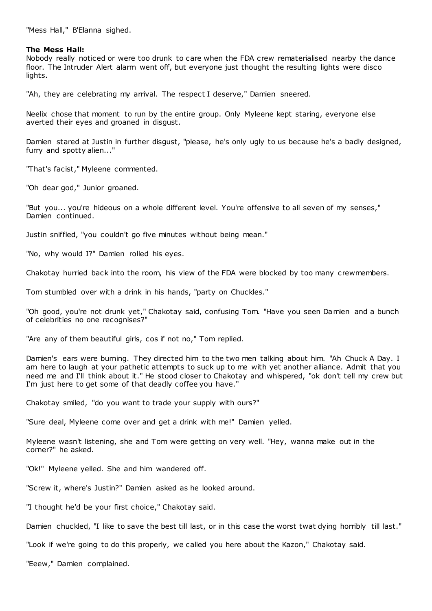"Mess Hall," B'Elanna sighed.

## **The Mess Hall:**

Nobody really noticed or were too drunk to care when the FDA crew rematerialised nearby the dance floor. The Intruder Alert alarm went off, but everyone just thought the resulting lights were disco lights.

"Ah, they are celebrating my arrival. The respect I deserve," Damien sneered.

Neelix chose that moment to run by the entire group. Only Myleene kept staring, everyone else averted their eyes and groaned in disgust.

Damien stared at Justin in further disgust, "please, he's only ugly to us because he's a badly designed, furry and spotty alien..."

"That's facist," Myleene commented.

"Oh dear god," Junior groaned.

"But you... you're hideous on a whole different level. You're offensive to all seven of my senses," Damien continued.

Justin sniffled, "you couldn't go five minutes without being mean."

"No, why would I?" Damien rolled his eyes.

Chakotay hurried back into the room, his view of the FDA were blocked by too many crewmembers.

Tom stumbled over with a drink in his hands, "party on Chuckles."

"Oh good, you're not drunk yet," Chakotay said, confusing Tom. "Have you seen Damien and a bunch of celebrities no one recognises?"

"Are any of them beautiful girls, cos if not no," Tom replied.

Damien's ears were burning. They directed him to the two men talking about him. "Ah Chuck A Day. I am here to laugh at your pathetic attempts to suck up to me with yet another alliance. Admit that you need me and I'll think about it." He stood closer to Chakotay and whispered, "ok don't tell my crew but I'm just here to get some of that deadly coffee you have."

Chakotay smiled, "do you want to trade your supply with ours?"

"Sure deal, Myleene come over and get a drink with me!" Damien yelled.

Myleene wasn't listening, she and Tom were getting on very well. "Hey, wanna make out in the corner?" he asked.

"Ok!" Myleene yelled. She and him wandered off.

"Screw it, where's Justin?" Damien asked as he looked around.

"I thought he'd be your first choice," Chakotay said.

Damien chuckled, "I like to save the best till last, or in this case the worst twat dying horribly till last."

"Look if we're going to do this properly, we called you here about the Kazon," Chakotay said.

"Eeew," Damien complained.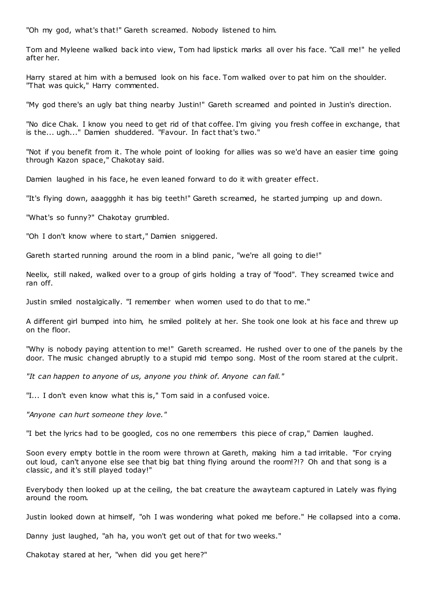"Oh my god, what's that!" Gareth screamed. Nobody listened to him.

Tom and Myleene walked back into view, Tom had lipstick marks all over his face. "Call me!" he yelled after her.

Harry stared at him with a bemused look on his face. Tom walked over to pat him on the shoulder. "That was quick," Harry commented.

"My god there's an ugly bat thing nearby Justin!" Gareth screamed and pointed in Justin's direction.

"No dice Chak. I know you need to get rid of that coffee. I'm giving you fresh coffee in exchange, that is the... ugh..." Damien shuddered. "Favour. In fact that's two."

"Not if you benefit from it. The whole point of looking for allies was so we'd have an easier time going through Kazon space," Chakotay said.

Damien laughed in his face, he even leaned forward to do it with greater effect.

"It's flying down, aaaggghh it has big teeth!" Gareth screamed, he started jumping up and down.

"What's so funny?" Chakotay grumbled.

"Oh I don't know where to start," Damien sniggered.

Gareth started running around the room in a blind panic, "we're all going to die!"

Neelix, still naked, walked over to a group of girls holding a tray of "food". They screamed twice and ran off.

Justin smiled nostalgically. "I remember when women used to do that to me."

A different girl bumped into him, he smiled politely at her. She took one look at his face and threw up on the floor.

"Why is nobody paying attention to me!" Gareth screamed. He rushed over to one of the panels by the door. The music changed abruptly to a stupid mid tempo song. Most of the room stared at the culprit.

*"It can happen to anyone of us, anyone you think of. Anyone can fall."*

"I... I don't even know what this is," Tom said in a confused voice.

*"Anyone can hurt someone they love."*

"I bet the lyrics had to be googled, cos no one remembers this piece of crap," Damien laughed.

Soon every empty bottle in the room were thrown at Gareth, making him a tad irritable. "For crying out loud, can't anyone else see that big bat thing flying around the room!?!? Oh and that song is a classic , and it's still played today!"

Everybody then looked up at the ceiling, the bat creature the awayteam captured in Lately was flying around the room.

Justin looked down at himself, "oh I was wondering what poked me before." He collapsed into a coma.

Danny just laughed, "ah ha, you won't get out of that for two weeks."

Chakotay stared at her, "when did you get here?"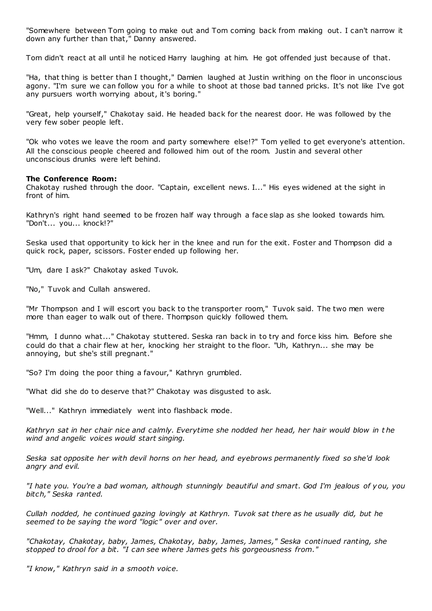"Somewhere between Tom going to make out and Tom coming back from making out. I can't narrow it down any further than that," Danny answered.

Tom didn't react at all until he noticed Harry laughing at him. He got offended just because of that.

"Ha, that thing is better than I thought," Damien laughed at Justin writhing on the floor in unconscious agony. "I'm sure we can follow you for a while to shoot at those bad tanned pricks. It's not like I've got any pursuers worth worrying about, it's boring."

"Great, help yourself," Chakotay said. He headed back for the nearest door. He was followed by the very few sober people left.

"Ok who votes we leave the room and party somewhere else!?" Tom yelled to get everyone's attention. All the conscious people cheered and followed him out of the room. Justin and several other unconscious drunks were left behind.

# **The Conference Room:**

Chakotay rushed through the door. "Captain, excellent news. I..." His eyes widened at the sight in front of him.

Kathryn's right hand seemed to be frozen half way through a face slap as she looked towards him. "Don't... you... knock!?"

Seska used that opportunity to kick her in the knee and run for the exit. Foster and Thompson did a quick rock, paper, scissors. Foster ended up following her.

"Um, dare I ask?" Chakotay asked Tuvok.

"No," Tuvok and Cullah answered.

"Mr Thompson and I will escort you back to the transporter room," Tuvok said. The two men were more than eager to walk out of there. Thompson quickly followed them.

"Hmm, I dunno what..." Chakotay stuttered. Seska ran back in to try and force kiss him. Before she could do that a chair flew at her, knocking her straight to the floor. "Uh, Kathryn... she may be annoying, but she's still pregnant."

"So? I'm doing the poor thing a favour," Kathryn grumbled.

"What did she do to deserve that?" Chakotay was disgusted to ask.

"Well..." Kathryn immediately went into flashback mode.

*Kathryn sat in her chair nice and calmly. Everytime she nodded her head, her hair would blow in t he wind and angelic voices would start singing.*

*Seska sat opposite her with devil horns on her head, and eyebrows permanently fixed so she'd look angry and evil.*

*"I hate you. You're a bad woman, although stunningly beautiful and smart. God I'm jealous of you, you bitch," Seska ranted.*

*Cullah nodded, he continued gazing lovingly at Kathryn. Tuvok sat there as he usually did, but he seemed to be saying the word "logic" over and over.*

*"Chakotay, Chakotay, baby, James, Chakotay, baby, James, James," Seska continued ranting, she stopped to drool for a bit. "I can see where James gets his gorgeousness from."*

*"I know," Kathryn said in a smooth voice.*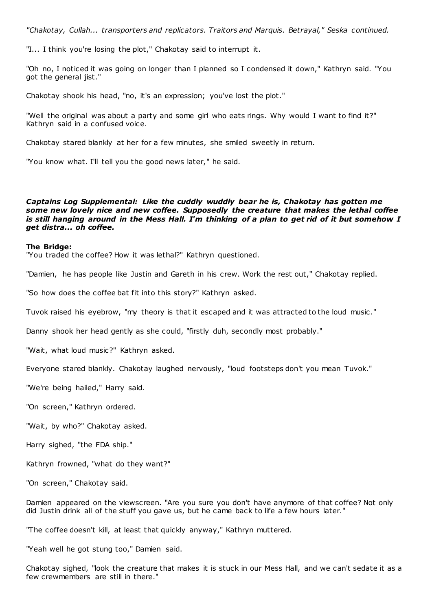*"Chakotay, Cullah... transporters and replicators. Traitors and Marquis. Betrayal," Seska continued.*

"I... I think you're losing the plot," Chakotay said to interrupt it.

"Oh no, I noticed it was going on longer than I planned so I condensed it down," Kathryn said. "You got the general jist."

Chakotay shook his head, "no, it's an expression; you've lost the plot."

"Well the original was about a party and some girl who eats rings. Why would I want to find it?" Kathryn said in a confused voice.

Chakotay stared blankly at her for a few minutes, she smiled sweetly in return.

"You know what. I'll tell you the good news later," he said.

# *Captains Log Supplemental: Like the cuddly wuddly bear he is, Chakotay has gotten me some new lovely nice and new coffee. Supposedly the creature that makes the lethal coffee is still hanging around in the Mess Hall. I'm thinking of a plan to get rid of it but somehow I get distra... oh coffee.*

#### **The Bridge:**

"You traded the coffee? How it was lethal?" Kathryn questioned.

"Damien, he has people like Justin and Gareth in his crew. Work the rest out," Chakotay replied.

"So how does the coffee bat fit into this story?" Kathryn asked.

Tuvok raised his eyebrow, "my theory is that it escaped and it was attracted to the loud music ."

Danny shook her head gently as she could, "firstly duh, secondly most probably."

"Wait, what loud music?" Kathryn asked.

Everyone stared blankly. Chakotay laughed nervously, "loud footsteps don't you mean Tuvok."

"We're being hailed," Harry said.

"On screen," Kathryn ordered.

"Wait, by who?" Chakotay asked.

Harry sighed, "the FDA ship."

Kathryn frowned, "what do they want?"

"On screen," Chakotay said.

Damien appeared on the viewscreen. "Are you sure you don't have anymore of that coffee? Not only did Justin drink all of the stuff you gave us, but he came back to life a few hours later."

"The coffee doesn't kill, at least that quickly anyway," Kathryn muttered.

"Yeah well he got stung too," Damien said.

Chakotay sighed, "look the creature that makes it is stuck in our Mess Hall, and we can't sedate it as a few crewmembers are still in there."